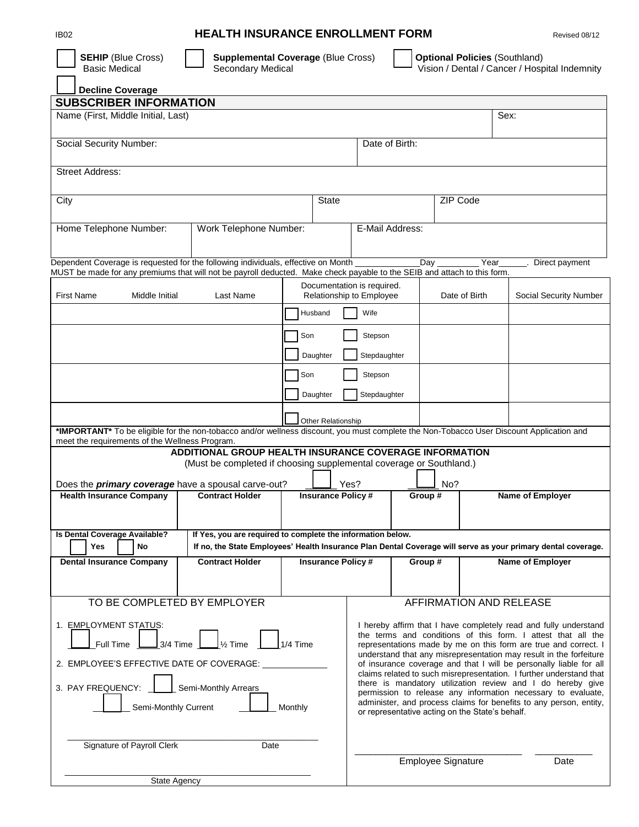## **IB02 HEALTH INSURANCE ENROLLMENT FORM** Revised 08/12

| <b>SEHIP (Blue Cross)</b><br><b>Basic Medical</b>                                                                                                                                                             | <b>Supplemental Coverage (Blue Cross)</b><br>Secondary Medical      |                          |                                                        |                                                 | <b>Optional Policies (Southland)</b> | Vision / Dental / Cancer / Hospital Indemnity                                                                                                                                                       |
|---------------------------------------------------------------------------------------------------------------------------------------------------------------------------------------------------------------|---------------------------------------------------------------------|--------------------------|--------------------------------------------------------|-------------------------------------------------|--------------------------------------|-----------------------------------------------------------------------------------------------------------------------------------------------------------------------------------------------------|
| Decline Coverage                                                                                                                                                                                              |                                                                     |                          |                                                        |                                                 |                                      |                                                                                                                                                                                                     |
| <b>SUBSCRIBER INFORMATION</b>                                                                                                                                                                                 |                                                                     |                          |                                                        |                                                 |                                      |                                                                                                                                                                                                     |
| Name (First, Middle Initial, Last)                                                                                                                                                                            |                                                                     |                          |                                                        |                                                 | Sex:                                 |                                                                                                                                                                                                     |
| Social Security Number:                                                                                                                                                                                       |                                                                     |                          | Date of Birth:                                         |                                                 |                                      |                                                                                                                                                                                                     |
| Street Address:                                                                                                                                                                                               |                                                                     |                          |                                                        |                                                 |                                      |                                                                                                                                                                                                     |
| City                                                                                                                                                                                                          |                                                                     | State                    |                                                        | ZIP Code                                        |                                      |                                                                                                                                                                                                     |
| Home Telephone Number:                                                                                                                                                                                        | Work Telephone Number:                                              |                          | E-Mail Address:                                        |                                                 |                                      |                                                                                                                                                                                                     |
| Dependent Coverage is requested for the following individuals, effective on Month<br>MUST be made for any premiums that will not be payroll deducted. Make check payable to the SEIB and attach to this form. |                                                                     |                          |                                                        | _Day                                            | Year                                 | Direct payment                                                                                                                                                                                      |
| First Name<br>Middle Initial                                                                                                                                                                                  | Last Name                                                           |                          | Documentation is required.<br>Relationship to Employee |                                                 | Date of Birth                        | Social Security Number                                                                                                                                                                              |
|                                                                                                                                                                                                               |                                                                     | Husband                  | Wife                                                   |                                                 |                                      |                                                                                                                                                                                                     |
|                                                                                                                                                                                                               |                                                                     | Son                      | Stepson                                                |                                                 |                                      |                                                                                                                                                                                                     |
|                                                                                                                                                                                                               |                                                                     | Daughter                 | Stepdaughter                                           |                                                 |                                      |                                                                                                                                                                                                     |
|                                                                                                                                                                                                               |                                                                     | Son                      | Stepson                                                |                                                 |                                      |                                                                                                                                                                                                     |
|                                                                                                                                                                                                               |                                                                     | Daughter                 | Stepdaughter                                           |                                                 |                                      |                                                                                                                                                                                                     |
| *IMPORTANT* To be eligible for the non-tobacco and/or wellness discount, you must complete the Non-Tobacco User Discount Application and                                                                      |                                                                     | Other Relationship       |                                                        |                                                 |                                      |                                                                                                                                                                                                     |
| meet the requirements of the Wellness Program.                                                                                                                                                                | ADDITIONAL GROUP HEALTH INSURANCE COVERAGE INFORMATION              |                          |                                                        |                                                 |                                      |                                                                                                                                                                                                     |
|                                                                                                                                                                                                               | (Must be completed if choosing supplemental coverage or Southland.) |                          |                                                        |                                                 |                                      |                                                                                                                                                                                                     |
| Does the <i>primary coverage</i> have a spousal carve-out?                                                                                                                                                    |                                                                     |                          | Yes?                                                   | No?                                             |                                      |                                                                                                                                                                                                     |
| <b>Health Insurance Company</b>                                                                                                                                                                               | <b>Contract Holder</b>                                              | <b>Insurance Policy#</b> |                                                        | Group #                                         |                                      | <b>Name of Employer</b>                                                                                                                                                                             |
| Is Dental Coverage Available?<br>Yes<br><b>No</b>                                                                                                                                                             | If Yes, you are required to complete the information below.         |                          |                                                        |                                                 |                                      | If no, the State Employees' Health Insurance Plan Dental Coverage will serve as your primary dental coverage.                                                                                       |
| <b>Dental Insurance Company</b>                                                                                                                                                                               | <b>Contract Holder</b>                                              | <b>Insurance Policy#</b> |                                                        | Group #                                         |                                      | Name of Employer                                                                                                                                                                                    |
|                                                                                                                                                                                                               |                                                                     |                          |                                                        |                                                 |                                      |                                                                                                                                                                                                     |
| TO BE COMPLETED BY EMPLOYER                                                                                                                                                                                   |                                                                     |                          |                                                        | AFFIRMATION AND RELEASE                         |                                      |                                                                                                                                                                                                     |
| 1. EMPLOYMENT STATUS:<br>Full Time                                                                                                                                                                            | $\frac{1}{3}$ 3/4 Time $\frac{1}{2}$<br>$\mathsf{\lvert}$ 1⁄2 Time  | $1/4$ Time               |                                                        |                                                 |                                      | I hereby affirm that I have completely read and fully understand<br>the terms and conditions of this form. I attest that all the<br>representations made by me on this form are true and correct. I |
| 2. EMPLOYEE'S EFFECTIVE DATE OF COVERAGE:                                                                                                                                                                     |                                                                     |                          |                                                        |                                                 |                                      | understand that any misrepresentation may result in the forfeiture<br>of insurance coverage and that I will be personally liable for all                                                            |
| 3. PAY FREQUENCY:                                                                                                                                                                                             | Semi-Monthly Arrears                                                |                          |                                                        |                                                 |                                      | claims related to such misrepresentation. I further understand that<br>there is mandatory utilization review and I do hereby give<br>permission to release any information necessary to evaluate,   |
| Semi-Monthly Current                                                                                                                                                                                          |                                                                     | Monthly                  |                                                        | or representative acting on the State's behalf. |                                      | administer, and process claims for benefits to any person, entity,                                                                                                                                  |
| Signature of Payroll Clerk                                                                                                                                                                                    | Date                                                                |                          |                                                        |                                                 |                                      |                                                                                                                                                                                                     |
|                                                                                                                                                                                                               |                                                                     |                          |                                                        | Employee Signature                              |                                      | Date                                                                                                                                                                                                |
| <b>State Agency</b>                                                                                                                                                                                           |                                                                     |                          |                                                        |                                                 |                                      |                                                                                                                                                                                                     |